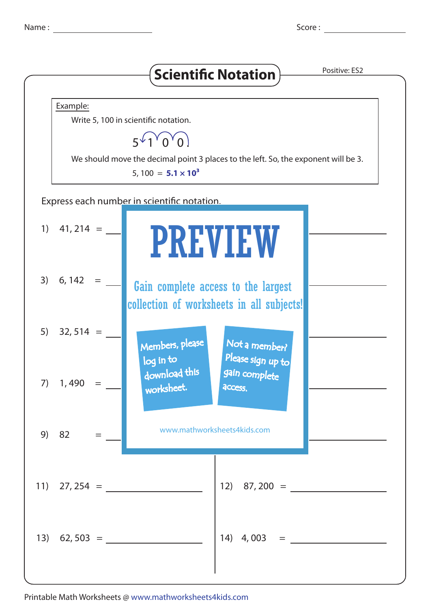